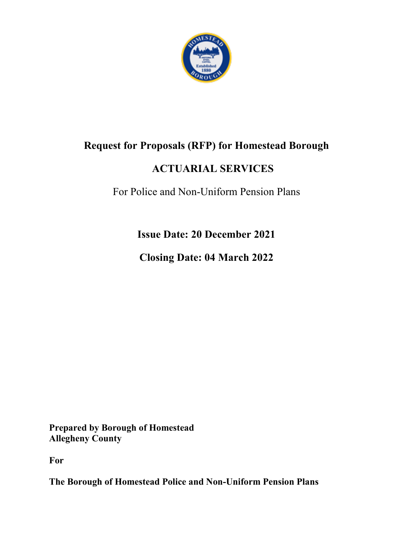

## **Request for Proposals (RFP) for Homestead Borough**

## **ACTUARIAL SERVICES**

For Police and Non-Uniform Pension Plans

**Issue Date: 20 December 2021**

**Closing Date: 04 March 2022**

**Prepared by Borough of Homestead Allegheny County** 

**For**

**The Borough of Homestead Police and Non-Uniform Pension Plans**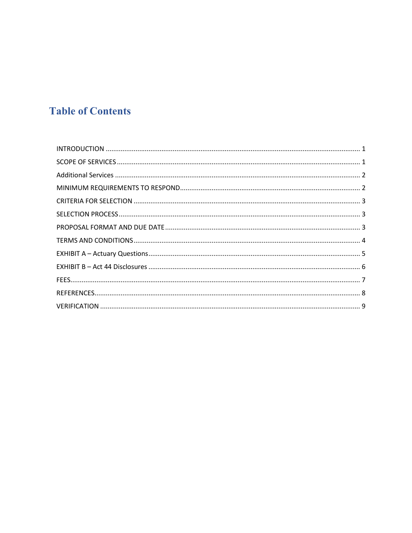# **Table of Contents**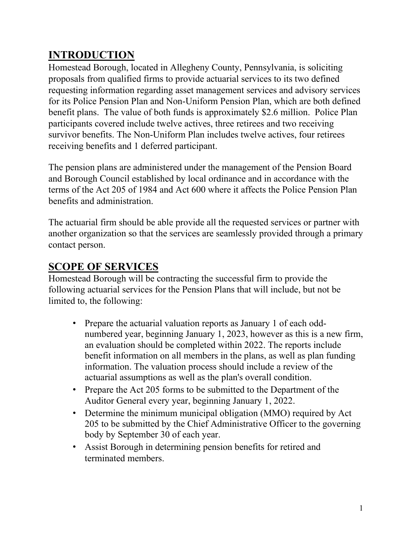## <span id="page-2-0"></span>**INTRODUCTION**

Homestead Borough, located in Allegheny County, Pennsylvania, is soliciting proposals from qualified firms to provide actuarial services to its two defined requesting information regarding asset management services and advisory services for its Police Pension Plan and Non-Uniform Pension Plan, which are both defined benefit plans. The value of both funds is approximately \$2.6 million. Police Plan participants covered include twelve actives, three retirees and two receiving survivor benefits. The Non-Uniform Plan includes twelve actives, four retirees receiving benefits and 1 deferred participant.

The pension plans are administered under the management of the Pension Board and Borough Council established by local ordinance and in accordance with the terms of the Act 205 of 1984 and Act 600 where it affects the Police Pension Plan benefits and administration.

The actuarial firm should be able provide all the requested services or partner with another organization so that the services are seamlessly provided through a primary contact person.

## <span id="page-2-1"></span>**SCOPE OF SERVICES**

Homestead Borough will be contracting the successful firm to provide the following actuarial services for the Pension Plans that will include, but not be limited to, the following:

- Prepare the actuarial valuation reports as January 1 of each oddnumbered year, beginning January 1, 2023, however as this is a new firm, an evaluation should be completed within 2022. The reports include benefit information on all members in the plans, as well as plan funding information. The valuation process should include a review of the actuarial assumptions as well as the plan's overall condition.
- Prepare the Act 205 forms to be submitted to the Department of the Auditor General every year, beginning January 1, 2022.
- Determine the minimum municipal obligation (MMO) required by Act 205 to be submitted by the Chief Administrative Officer to the governing body by September 30 of each year.
- Assist Borough in determining pension benefits for retired and terminated members.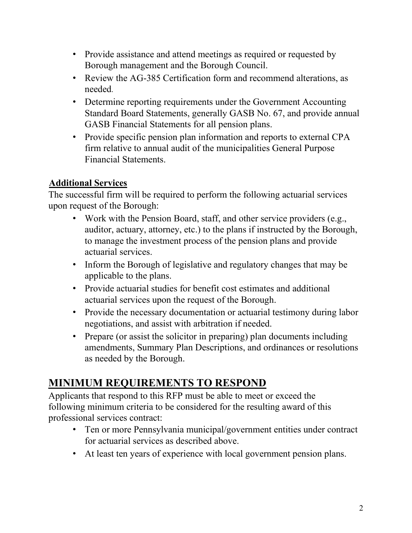- Provide assistance and attend meetings as required or requested by Borough management and the Borough Council.
- Review the AG-385 Certification form and recommend alterations, as needed.
- Determine reporting requirements under the Government Accounting Standard Board Statements, generally GASB No. 67, and provide annual GASB Financial Statements for all pension plans.
- Provide specific pension plan information and reports to external CPA firm relative to annual audit of the municipalities General Purpose Financial Statements.

#### <span id="page-3-0"></span>**Additional Services**

The successful firm will be required to perform the following actuarial services upon request of the Borough:

- Work with the Pension Board, staff, and other service providers (e.g., auditor, actuary, attorney, etc.) to the plans if instructed by the Borough, to manage the investment process of the pension plans and provide actuarial services.
- Inform the Borough of legislative and regulatory changes that may be applicable to the plans.
- Provide actuarial studies for benefit cost estimates and additional actuarial services upon the request of the Borough.
- Provide the necessary documentation or actuarial testimony during labor negotiations, and assist with arbitration if needed.
- Prepare (or assist the solicitor in preparing) plan documents including amendments, Summary Plan Descriptions, and ordinances or resolutions as needed by the Borough.

## <span id="page-3-1"></span>**MINIMUM REQUIREMENTS TO RESPOND**

Applicants that respond to this RFP must be able to meet or exceed the following minimum criteria to be considered for the resulting award of this professional services contract:

- Ten or more Pennsylvania municipal/government entities under contract for actuarial services as described above.
- At least ten years of experience with local government pension plans.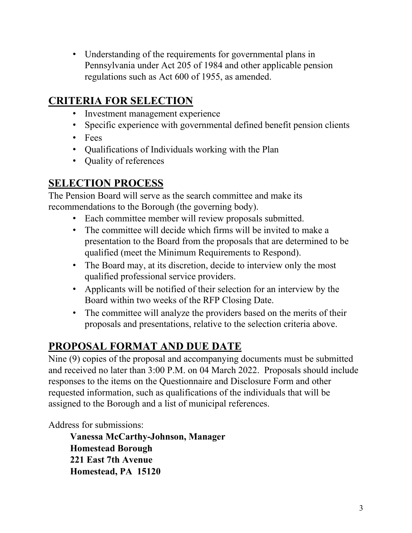• Understanding of the requirements for governmental plans in Pennsylvania under Act 205 of 1984 and other applicable pension regulations such as Act 600 of 1955, as amended.

## <span id="page-4-0"></span>**CRITERIA FOR SELECTION**

- Investment management experience
- Specific experience with governmental defined benefit pension clients
- Fees
- Qualifications of Individuals working with the Plan
- Quality of references

## <span id="page-4-1"></span>**SELECTION PROCESS**

The Pension Board will serve as the search committee and make its recommendations to the Borough (the governing body).

- Each committee member will review proposals submitted.
- The committee will decide which firms will be invited to make a presentation to the Board from the proposals that are determined to be qualified (meet the Minimum Requirements to Respond).
- The Board may, at its discretion, decide to interview only the most qualified professional service providers.
- Applicants will be notified of their selection for an interview by the Board within two weeks of the RFP Closing Date.
- The committee will analyze the providers based on the merits of their proposals and presentations, relative to the selection criteria above.

## <span id="page-4-2"></span>**PROPOSAL FORMAT AND DUE DATE**

Nine (9) copies of the proposal and accompanying documents must be submitted and received no later than 3:00 P.M. on 04 March 2022. Proposals should include responses to the items on the Questionnaire and Disclosure Form and other requested information, such as qualifications of the individuals that will be assigned to the Borough and a list of municipal references.

Address for submissions:

**Vanessa McCarthy-Johnson, Manager Homestead Borough 221 East 7th Avenue Homestead, PA 15120**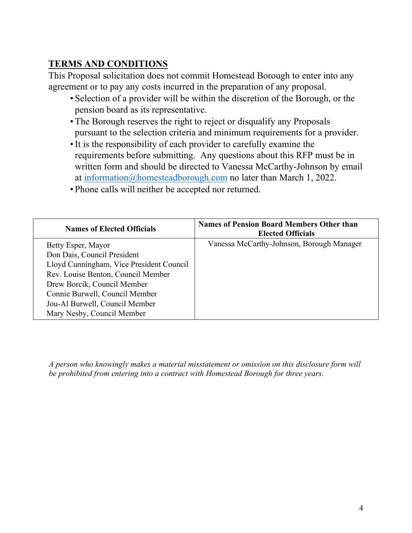### <span id="page-5-0"></span>**TERMS AND CONDITIONS**

This Proposal solicitation does not commit Homestead Borough to enter into any agreement or to pay any costs incurred in the preparation of any proposal.

- Selection of a provider will be within the discretion of the Borough, or the pension board as its representative.
- The Borough reserves the right to reject or disqualify any Proposals pursuant to the selection criteria and minimum requirements for a provider.
- •It is the responsibility of each provider to carefully examine the requirements before submitting. Any questions about this RFP must be in written form and should be directed to Vanessa McCarthy-Johnson by email at [information@homesteadborough.com](mailto:information@homesteadborough.com) no later than March 1, 2022.
- Phone calls will neither be accepted nor returned.

| <b>Names of Elected Officials</b>        | <b>Names of Pension Board Members Other than</b><br><b>Elected Officials</b> |
|------------------------------------------|------------------------------------------------------------------------------|
| Betty Esper, Mayor                       | Vanessa McCarthy-Johnson, Borough Manager                                    |
| Don Dais, Council President              |                                                                              |
| Lloyd Cunningham, Vice President Council |                                                                              |
| Rev. Louise Benton, Council Member       |                                                                              |
| Drew Borcik, Council Member              |                                                                              |
| Connie Burwell, Council Member           |                                                                              |
| Jou-Al Burwell, Council Member           |                                                                              |
| Mary Nesby, Council Member               |                                                                              |

*A person who knowingly makes a material misstatement or omission on this disclosure form will be prohibited from entering into a contract with Homestead Borough for three years.*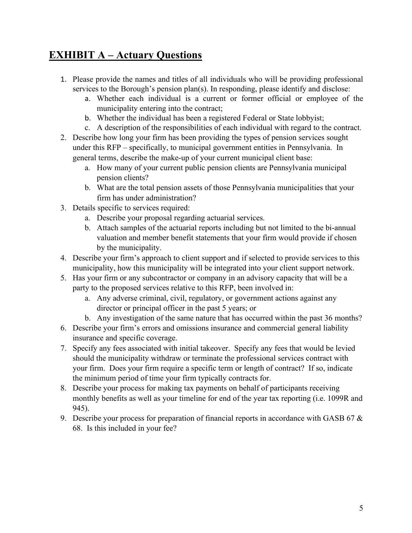## <span id="page-6-0"></span>**EXHIBIT A – Actuary Questions**

- 1. Please provide the names and titles of all individuals who will be providing professional services to the Borough's pension plan(s). In responding, please identify and disclose:
	- a. Whether each individual is a current or former official or employee of the municipality entering into the contract;
	- b. Whether the individual has been a registered Federal or State lobbyist;
	- c. A description of the responsibilities of each individual with regard to the contract.
- 2. Describe how long your firm has been providing the types of pension services sought under this RFP – specifically, to municipal government entities in Pennsylvania. In general terms, describe the make-up of your current municipal client base:
	- a. How many of your current public pension clients are Pennsylvania municipal pension clients?
	- b. What are the total pension assets of those Pennsylvania municipalities that your firm has under administration?
- 3. Details specific to services required:
	- a. Describe your proposal regarding actuarial services.
	- b. Attach samples of the actuarial reports including but not limited to the bi-annual valuation and member benefit statements that your firm would provide if chosen by the municipality.
- 4. Describe your firm's approach to client support and if selected to provide services to this municipality, how this municipality will be integrated into your client support network.
- 5. Has your firm or any subcontractor or company in an advisory capacity that will be a party to the proposed services relative to this RFP, been involved in:
	- a. Any adverse criminal, civil, regulatory, or government actions against any director or principal officer in the past 5 years; or
	- b. Any investigation of the same nature that has occurred within the past 36 months?
- 6. Describe your firm's errors and omissions insurance and commercial general liability insurance and specific coverage.
- 7. Specify any fees associated with initial takeover. Specify any fees that would be levied should the municipality withdraw or terminate the professional services contract with your firm. Does your firm require a specific term or length of contract? If so, indicate the minimum period of time your firm typically contracts for.
- 8. Describe your process for making tax payments on behalf of participants receiving monthly benefits as well as your timeline for end of the year tax reporting (i.e. 1099R and 945).
- 9. Describe your process for preparation of financial reports in accordance with GASB 67  $\&$ 68. Is this included in your fee?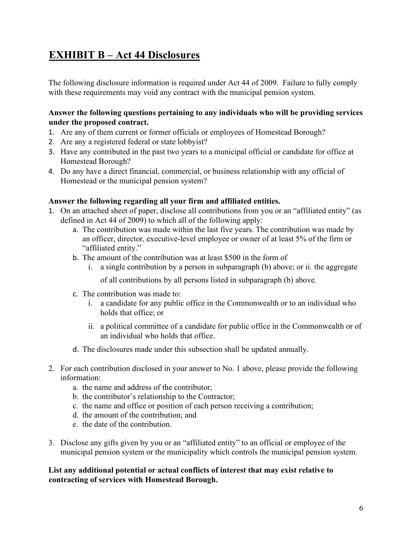## <span id="page-7-0"></span>**EXHIBIT B – Act 44 Disclosures**

The following disclosure information is required under Act 44 of 2009. Failure to fully comply with these requirements may void any contract with the municipal pension system.

#### **Answer the following questions pertaining to any individuals who will be providing services under the proposed contract.**

- 1. Are any of them current or former officials or employees of Homestead Borough?
- 2. Are any a registered federal or state lobbyist?
- 3. Have any contributed in the past two years to a municipal official or candidate for office at Homestead Borough?
- 4. Do any have a direct financial, commercial, or business relationship with any official of Homestead or the municipal pension system?

#### **Answer the following regarding all your firm and affiliated entities.**

- 1. On an attached sheet of paper, disclose all contributions from you or an "affiliated entity" (as defined in Act 44 of 2009) to which all of the following apply:
	- a. The contribution was made within the last five years. The contribution was made by an officer, director, executive-level employee or owner of at least 5% of the firm or "affiliated entity."
	- b. The amount of the contribution was at least \$500 in the form of
		- i. a single contribution by a person in subparagraph (b) above; or ii. the aggregate

of all contributions by all persons listed in subparagraph (b) above.

- c. The contribution was made to:
	- i. a candidate for any public office in the Commonwealth or to an individual who holds that office; or
	- ii. a political committee of a candidate for public office in the Commonwealth or of an individual who holds that office.
- d. The disclosures made under this subsection shall be updated annually.
- 2. For each contribution disclosed in your answer to No. 1 above, please provide the following information:
	- a. the name and address of the contributor;
	- b. the contributor's relationship to the Contractor;
	- c. the name and office or position of each person receiving a contribution;
	- d. the amount of the contribution; and
	- e. the date of the contribution.
- 3. Disclose any gifts given by you or an "affiliated entity" to an official or employee of the municipal pension system or the municipality which controls the municipal pension system.

#### **List any additional potential or actual conflicts of interest that may exist relative to contracting of services with Homestead Borough.**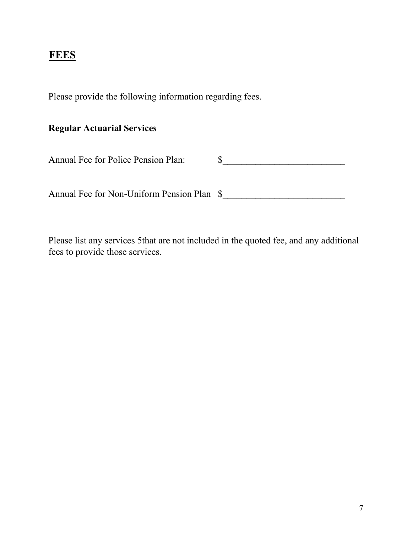### <span id="page-8-0"></span>**FEES**

Please provide the following information regarding fees.

### **Regular Actuarial Services**

| <b>Annual Fee for Police Pension Plan:</b> |  |
|--------------------------------------------|--|
|--------------------------------------------|--|

Annual Fee for Non-Uniform Pension Plan  $\quad \quad \text{S}$ 

Please list any services 5that are not included in the quoted fee, and any additional fees to provide those services.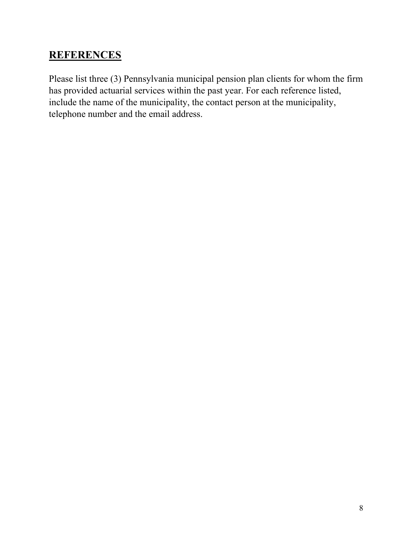## <span id="page-9-0"></span>**REFERENCES**

Please list three (3) Pennsylvania municipal pension plan clients for whom the firm has provided actuarial services within the past year. For each reference listed, include the name of the municipality, the contact person at the municipality, telephone number and the email address.